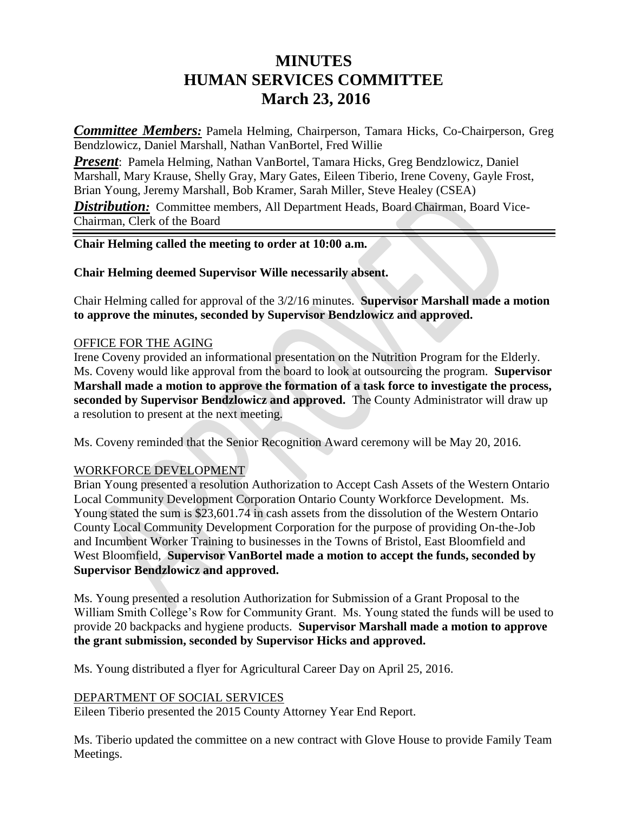# **MINUTES HUMAN SERVICES COMMITTEE March 23, 2016**

*Committee Members:* Pamela Helming, Chairperson, Tamara Hicks, Co-Chairperson, Greg Bendzlowicz, Daniel Marshall, Nathan VanBortel, Fred Willie

*Present*: Pamela Helming, Nathan VanBortel, Tamara Hicks, Greg Bendzlowicz, Daniel Marshall, Mary Krause, Shelly Gray, Mary Gates, Eileen Tiberio, Irene Coveny, Gayle Frost, Brian Young, Jeremy Marshall, Bob Kramer, Sarah Miller, Steve Healey (CSEA) **Distribution:** Committee members, All Department Heads, Board Chairman, Board Vice-Chairman, Clerk of the Board

## **Chair Helming called the meeting to order at 10:00 a.m.**

### **Chair Helming deemed Supervisor Wille necessarily absent.**

Chair Helming called for approval of the 3/2/16 minutes. **Supervisor Marshall made a motion to approve the minutes, seconded by Supervisor Bendzlowicz and approved.**

### OFFICE FOR THE AGING

Irene Coveny provided an informational presentation on the Nutrition Program for the Elderly. Ms. Coveny would like approval from the board to look at outsourcing the program. **Supervisor Marshall made a motion to approve the formation of a task force to investigate the process, seconded by Supervisor Bendzlowicz and approved.** The County Administrator will draw up a resolution to present at the next meeting.

Ms. Coveny reminded that the Senior Recognition Award ceremony will be May 20, 2016.

## WORKFORCE DEVELOPMENT

Brian Young presented a resolution Authorization to Accept Cash Assets of the Western Ontario Local Community Development Corporation Ontario County Workforce Development. Ms. Young stated the sum is \$23,601.74 in cash assets from the dissolution of the Western Ontario County Local Community Development Corporation for the purpose of providing On-the-Job and Incumbent Worker Training to businesses in the Towns of Bristol, East Bloomfield and West Bloomfield, **Supervisor VanBortel made a motion to accept the funds, seconded by Supervisor Bendzlowicz and approved.**

Ms. Young presented a resolution Authorization for Submission of a Grant Proposal to the William Smith College's Row for Community Grant. Ms. Young stated the funds will be used to provide 20 backpacks and hygiene products. **Supervisor Marshall made a motion to approve the grant submission, seconded by Supervisor Hicks and approved.**

Ms. Young distributed a flyer for Agricultural Career Day on April 25, 2016.

#### DEPARTMENT OF SOCIAL SERVICES

Eileen Tiberio presented the 2015 County Attorney Year End Report.

Ms. Tiberio updated the committee on a new contract with Glove House to provide Family Team Meetings.